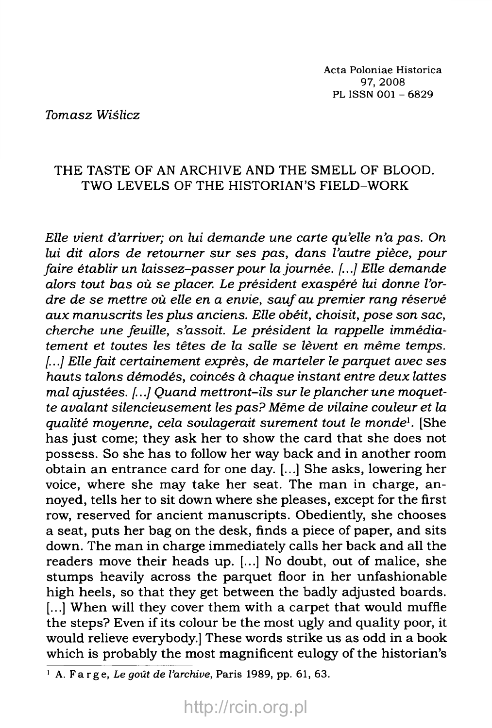*Tomasz Wiślicz*

## THE TASTE OF AN ARCHIVE AND THE SMELL OF BLOOD. TWO LEVELS OF THE HISTORIAN'S FIELD-WORK

*Elle vient d 'arriver; on lui dem ande une carte qu'elle n'a pas. On* lui dit alors de retourner sur ses pas, dans l'autre pièce, pour *faire établir un laissez-passer pour la journée. [...] Elle demande* alors tout bas où se placer. Le président exaspéré lui donne l'ordre de se mettre où elle en a envie, sauf au premier rang réservé *aux manuscrits les plus anciens. Elle obéit, choisit, pose son sac, cherche une feuille, s 'assoit. Le président la rappelle immédia*tement et toutes les têtes de la salle se lèvent en même temps. [...] Elle fait certainement exprès, de marteler le parquet avec ses hauts talons démodés, coincés à chaque instant entre deux lattes mal ajustées. [...] Quand mettront-ils sur le plancher une moquet*te avalant silencieusem ent les p a s ? Même de vilaine couleur et la qualité m oyenne, cela soulagerait s urement tout le m onde*1*.* [She has just come; they ask her to show the card that she does not possess. So she has to follow her way back and in another room obtain an entrance card for one day. [...] She asks, lowering her voice, where she may take her seat. The man in charge, annoyed, tells her to sit down where she pleases, except for the first row, reserved for ancient manuscripts. Obediently, she chooses a seat, puts her bag on the desk, finds a piece of paper, and sits down. The man in charge immediately calls her back and all the readers move their heads up. [...] No doubt, out of malice, she stumps heavily across the parquet floor in her unfashionable high heels, so that they get between the badly adjusted boards. [...] When will they cover them with a carpet that would muffle the steps? Even if its colour be the most ugly and quality poor, it would relieve everybody.] These words strike us as odd in a book which is probably the most magnificent eulogy of the historian's

<sup>1</sup> A. Farge, *Le goût de l'archive,* Paris 1989, pp. 61, 63.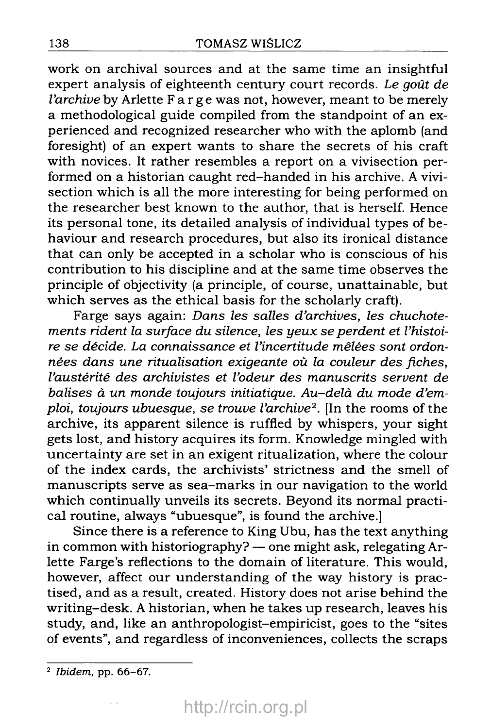work on archival sources and at the same time an insightful expert analysis of eighteenth century court records. Le goût de *l'archive* by Arlette  $F$  a r g e was not, however, meant to be merely a methodological guide compiled from the stand point of an experienced and recognized researcher who with the aplomb (and foresight) of an expert wants to share the secrets of his craft with novices. It rather resembles a report on a vivisection performed on a historian caught red-handed in his archive. A vivisection which is all the more interesting for being performed on the researcher best known to the author, that is herself. Hence its personal tone, its detailed analysis of individual types of behaviour and research procedures, but also its ironical distance that can only be accepted in a scholar who is conscious of his contribution to his discipline and at the same time observes the principle of objectivity (a principle, of course, unattainable, but which serves as the ethical basis for the scholarly craft).

Farge says again: Dans les salles d'archives, les chuchotements rident la surface du silence, les yeux se perdent et l'histoire se décide. La connaissance et l'incertitude mêlées sont ordonnées dans une ritualisation exigeante où la couleur des fiches, l'austérité des archivistes et l'odeur des manuscrits servent de balises à un monde toujours initiatique. Au-delà du mode d'emploi, toujours ubuesque, se trouve l'archive<sup>2</sup>. [In the rooms of the archive, its apparent silence is ruffled by whispers, your sight gets lost, and history acquires its form. Knowledge mingled with uncertainty are set in an exigent ritualization, where the colour of the index cards, the archivists' strictness and the smell of manuscripts serve as sea-marks in our navigation to the world which continually unveils its secrets. Beyond its normal practical routine, always "ubuesque", is found the archive.]

Since there is a reference to King Ubu, has the text anything in common with historiography? — one might ask, relegating Arlette Farge's reflections to the domain of literature. This would, however, affect our understanding of the way history is practised, and as a result, created. History does not arise behind the writing-desk. A historian, when he takes up research, leaves his study, and, like an anthropologist-empiricist, goes to the "sites of events", and regardless of inconveniences, collects the scraps

<sup>2</sup> Ibidem, pp. 66-67.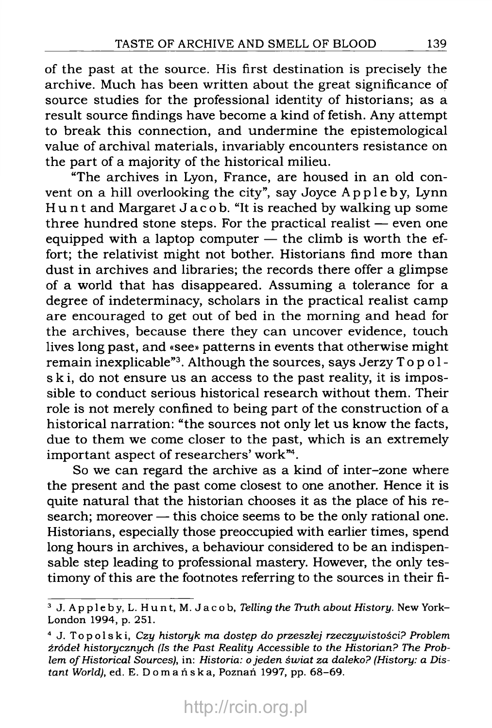of the past at the source. His first destination is precisely the archive. Much has been written about the great significance of source studies for the professional identity of historians; as a result source findings have become a kind of fetish. Any attempt to break this connection, and undermine the epistemological value of archival materials, invariably encounters resistance on the part of a majority of the historical milieu.

"The archives in Lyon, France, are housed in an old convent on a hill overlooking the city", say Joyce Appleby, Lynn Hunt and Margaret Jacob. "It is reached by walking up some three hundred stone steps. For the practical realist — even one equipped with a laptop computer — the climb is worth the effort; the relativist might not bother. Historians find more than dust in archives and libraries; the records there offer a glimpse of a world that has disappeared. Assuming a tolerance for a degree of indeterminacy, scholars in the practical realist camp are encouraged to get out of bed in the morning and head for the archives, because there they can uncover evidence, touch lives long past, and «see» patterns in events that otherwise might remain inexplicable"3. Although the sources, says Jerzy Topolski, do not ensure us an access to the past reality, it is impossible to conduct serious historical research without them. Their role is not merely confined to being part of the construction of a historical narration: "the sources not only let us know the facts, due to them we come closer to the past, which is an extremely important aspect of researchers' work"4.

So we can regard the archive as a kind of inter-zone where the present and the past come closest to one another. Hence it is quite natural that the historian chooses it as the place of his research; moreover — this choice seems to be the only rational one. Historians, especially those preoccupied with earlier times, spend long hours in archives, a behaviour considered to be an indispensable step leading to professional mastery. However, the only testimony of this are the footnotes referring to the sources in their fi-

<sup>&</sup>lt;sup>3</sup> J. Appleby, L. Hunt, M. Jacob, *Telling the Truth about History*. New York-London 1994, p. 251.

<sup>4</sup> J. Topolski, *Czy historyk ma dostęp do przeszłej rzeczyw istości? Problem źródeł historycznych (Is the Past Reality Accessible to the Historian? The Prob*lem of Historical Sources), in: Historia: o jeden świat za daleko? (History: a Dis*tant World),* ed. E. D o m a ń s k a , Poznań 1997, pp. 68-69.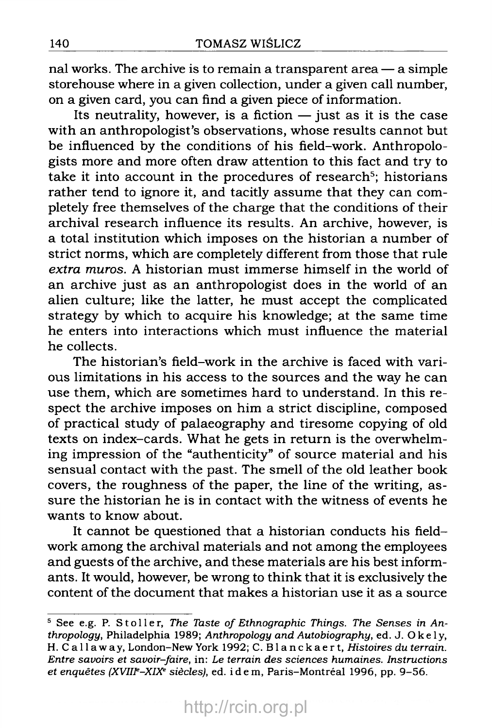nal works. The archive is to remain a transparent area — a simple storehouse where in a given collection, under a given call number, on a given card, you can find a given piece of information.

Its neutrality, however, is a fiction  $-$  just as it is the case with an anthropologist's observations, whose results cannot but be influenced by the conditions of his field-work. Anthropologists more and more often draw attention to this fact and try to take it into account in the procedures of research<sup>5</sup>; historians rather tend to ignore it, and tacitly assume that they can completely free themselves of the charge that the conditions of their archival research influence its results. An archive, however, is a total institution which imposes on the historian a number of strict norms, which are completely different from those that rule *extra muros.* A historian must immerse himself in the world of an archive just as an anthropologist does in the world of an alien culture; like the latter, he must accept the complicated strategy by which to acquire his knowledge; at the same time he enters into interactions which must influence the material he collects.

The historian's field-work in the archive is faced with various limitations in his access to the sources and the way he can use them, which are sometimes hard to understand. In this respect the archive imposes on him a strict discipline, composed of practical study of palaeography and tiresome copying of old texts on index-cards. What he gets in return is the overwhelming impression of the "authenticity" of source material and his sensual contact with the past. The smell of the old leather book covers, the roughness of the paper, the line of the writing, assure the historian he is in contact with the witness of events he wants to know about.

It cannot be questioned that a historian conducts his fieldwork among the archival materials and not among the employees and guests of the archive, and these materials are his best informants. It would, however, be wrong to think that it is exclusively the content of the document that makes a historian use it as a source

<sup>&</sup>lt;sup>5</sup> See e.g. P. Stoller, The Taste of Ethnographic Things. The Senses in An*thropology,* Philadelphia 1989; *Anthropology and Autobiography,* ed. J. Okely, H. C a l l a w a y , London-New York 1992; C. Blanckaert, *Histoires du terrain. Entre savoirs et savoir-faire,* in: *Le terrain des sciences humaines. Instructions et enquêtes (XVIIIe-XIXe siècles),* ed. i d e m , Paris-Montréal 1996, pp. 9-56.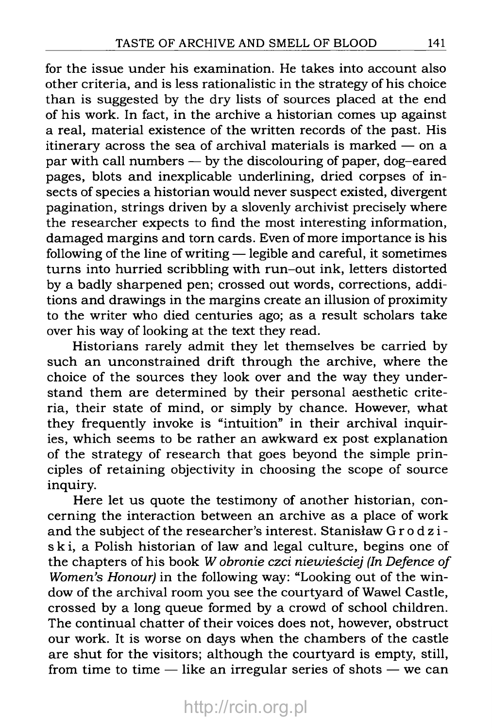for the issue under his examination. He takes into account also other criteria, and is less rationalistic in the strategy of his choice than is suggested by the dry lists of sources placed at the end of his work. In fact, in the archive a historian comes up against a real, material existence of the written records of the past. His itinerary across the sea of archival materials is marked — on a par with call numbers — by the discolouring of paper, dog-eared pages, blots and inexplicable underlining, dried corpses of insects of species a historian would never suspect existed, divergent pagination, strings driven by a slovenly archivist precisely where the researcher expects to find the most interesting information, damaged margins and torn cards. Even of more importance is his following of the line of writing — legible and careful, it sometimes turns into hurried scribbling with run-out ink, letters distorted by a badly sharpened pen; crossed out words, corrections, additions and drawings in the margins create an illusion of proximity to the writer who died centuries ago; as a result scholars take over his way of looking at the text they read.

Historians rarely admit they let themselves be carried by such an unconstrained drift through the archive, where the choice of the sources they look over and the way they understand them are determined by their personal aesthetic criteria, their state of mind, or simply by chance. However, what they frequently invoke is "intuition" in their archival inquiries, which seems to be rather an awkward ex post explanation of the strategy of research that goes beyond the simple principles of retaining objectivity in choosing the scope of source inquiry.

Here let us quote the testimony of another historian, concerning the interaction between an archive as a place of work and the subject of the researcher's interest. Stanisław Grodziski, a Polish historian of law and legal culture, begins one of the chapters of his book *W obronie czci niewieściej (In Defence of Women's Honour)* in the following way: "Looking out of the window of the archival room you see the courtyard of Wawel Castle, crossed by a long queue formed by a crowd of school children. The continual chatter of their voices does not, however, obstruct our work. It is worse on days when the chambers of the castle are shut for the visitors; although the courtyard is empty, still, from time to time — like an irregular series of shots — we can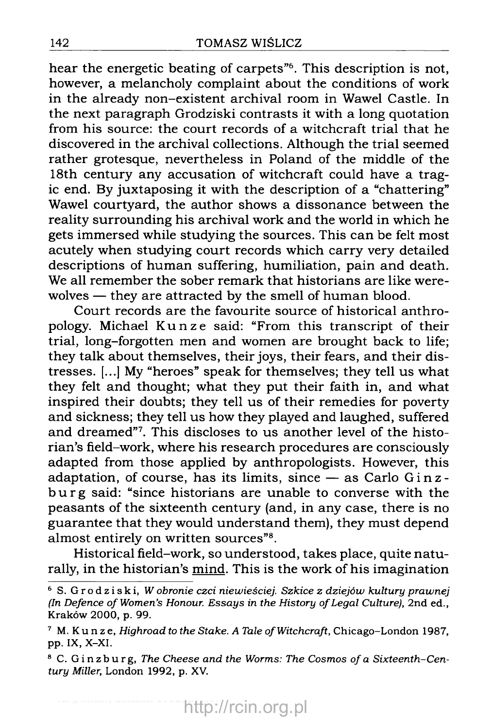hear the energetic beating of carpets"6. This description is not, however, a melancholy complaint about the conditions of work in the already non-existent archival room in Wawel Castle. In the next paragraph Grodziski contrasts it with a long quotation from his source: the court records of a witchcraft trial that he discovered in the archival collections. Although the trial seemed rather grotesque, nevertheless in Poland of the middle of the 18th century any accusation of witchcraft could have a tragic end. By juxtaposing it with the description of a "chattering" Wawel courtyard, the author shows a dissonance between the reality surrounding his archival work and the world in which he gets immersed while studying the sources. This can be felt most acutely when studying court records which carry very detailed descriptions of human suffering, humiliation, pain and death. We all remember the sober remark that historians are like werewolves — they are attracted by the smell of human blood.

Court records are the favourite source of historical anthropology. Michael Kunze said: "From this transcript of their trial, long-forgotten men and women are brought back to life; they talk about themselves, their joys, their fears, and their distresses. [...] My "heroes" speak for themselves; they tell us what they felt and thought; what they put their faith in, and what inspired their doubts; they tell us of their remedies for poverty and sickness; they tell us how they played and laughed, suffered and dreamed"7. This discloses to us another level of the historian's field-work, where his research procedures are consciously adapted from those applied by anthropologists. However, this adaptation, of course, has its limits, since  $-$  as Carlo Ginzburg said: "since historians are unable to converse with the peasants of the sixteenth century (and, in any case, there is no guarantee that they would understand them), they must depend almost entirely on written sources"8.

Historical field-work, so understood, takes place, quite naturally, in the historian's mind. This is the work of his imagination

<sup>6</sup> S. Grodziski, *W obronie czci niewieściej. Szkice z dziejów kultury prawnej (In Defence of Women's Honour. Essays in the History of Legal Culture), 2nd ed.,* Kraków 2000, p. 99.

<sup>&</sup>lt;sup>7</sup> M. Kunze, *Highroad to the Stake. A Tale of Witchcraft*, Chicago-London 1987, pp. IX, X-XI.

<sup>&</sup>lt;sup>8</sup> C. Ginzburg, *The Cheese and the Worms: The Cosmos of a Sixteenth-Century Miller,* London 1992, p. XV.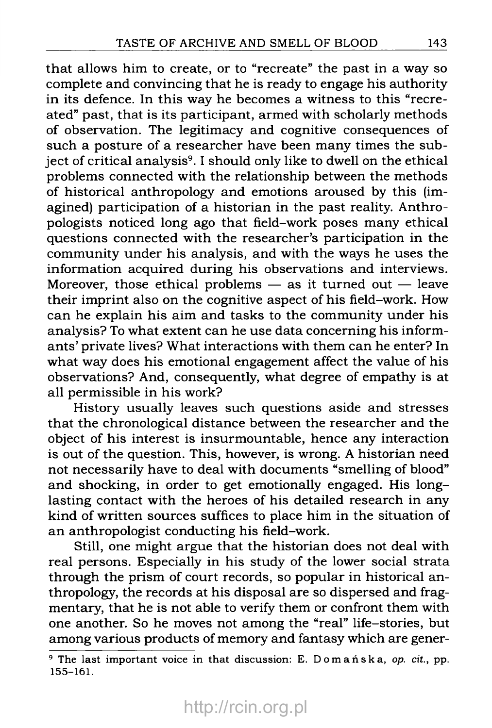that allows him to create, or to "recreate" the past in a way so complete and convincing that he is ready to engage his authority in its defence. In this way he becomes a witness to this "recreated" past, that is its participant, armed with scholarly methods of observation. The legitimacy and cognitive consequences of such a posture of a researcher have been many times the subject of critical analysis<sup>9</sup>. I should only like to dwell on the ethical problems connected with the relationship between the methods of historical anthropology and emotions aroused by this (imagined) participation of a historian in the past reality. Anthropologists noticed long ago that field-work poses many ethical questions connected with the researcher's participation in the community under his analysis, and with the ways he uses the information acquired during his observations and interviews. Moreover, those ethical problems  $-$  as it turned out  $-$  leave their imprint also on the cognitive aspect of his field-work. How can he explain his aim and tasks to the community under his analysis? To what extent can he use data concerning his informants' private lives? What interactions with them can he enter? In what way does his emotional engagement affect the value of his observations? And, consequently, what degree of empathy is at all permissible in his work?

History usually leaves such questions aside and stresses that the chronological distance between the researcher and the object of his interest is insurmountable, hence any interaction is out of the question. This, however, is wrong. A historian need not necessarily have to deal with documents "smelling of blood" and shocking, in order to get emotionally engaged. His longlasting contact with the heroes of his detailed research in any kind of written sources suffices to place him in the situation of an anthropologist conducting his field-work.

Still, one might argue that the historian does not deal with real persons. Especially in his study of the lower social strata through the prism of court records, so popular in historical anthropology, the records at his disposal are so dispersed and fragmentary, that he is not able to verify them or confront them with one another. So he moves not among the "real" life-stories, but among various products of memory and fantasy which are gener-

<sup>9</sup> The last important voice in that discussion: E. Domańska, *op. cit.,* pp. 155-161.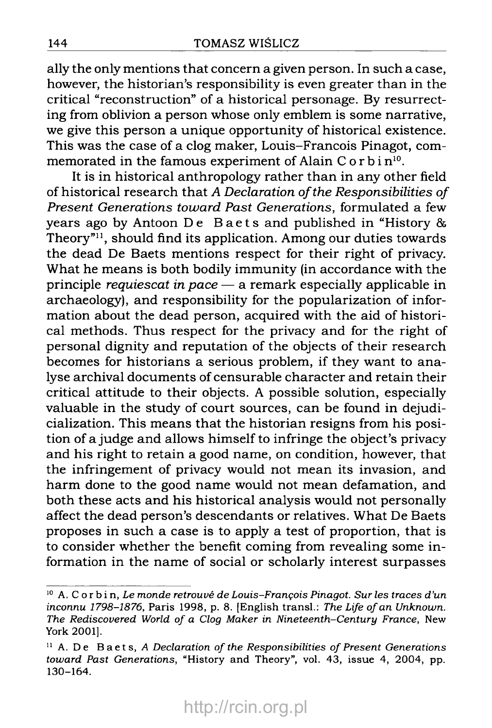ally the only mentions that concern a given person. In such a case, however, the historian's responsibility is even greater than in the critical "reconstruction" of a historical personage. By resurrecting from oblivion a person whose only emblem is some narrative, we give this person a unique opportunity of historical existence. This was the case of a clog maker, Louis-Francois Pinagot, comm emorated in the famous experiment of Alain C o r b i  $n^{10}$ .

It is in historical anthropology rather than in any other field of historical research that A Declaration of the Responsibilities of Present Generations toward Past Generations, formulated a few years ago by Antoon De Baets and published in "History  $\&$ Theory"<sup>11</sup>, should find its application. Among our duties towards the dead De Baets mentions respect for their right of privacy. What he means is both bodily immunity (in accordance with the principle *requiescat in pace*  $-$  a remark especially applicable in archaeology), and responsibility for the popularization of information about the dead person, acquired with the aid of historical methods. Thus respect for the privacy and for the right of personal dignity and reputation of the objects of their research becomes for historians a serious problem, if they want to analyse archival documents of censurable character and retain their critical attitude to their objects. A possible solution, especially valuable in the study of court sources, can be found in dejudicialization. This means that the historian resigns from his position of a judge and allows himself to infringe the object's privacy and his right to retain a good name, on condition, however, that the infringement of privacy would not mean its invasion, and harm done to the good name would not mean defamation, and both these acts and his historical analysis would not personally affect the dead person's descendants or relatives. What De Baets proposes in such a case is to apply a test of proportion, that is to consider whether the benefit coming from revealing some information in the name of social or scholarly interest surpasses

 $10$  A. C or b in, Le monde retrouvé de Louis-François Pinagot. Sur les traces d'un inconnu 1798-1876, Paris 1998, p. 8. [English transi.: The Life of an Unknown. The Rediscovered World of a Clog Maker in Nineteenth-Century France, New York 2001].

 $11$  A. De Baets, A Declaration of the Responsibilities of Present Generations toward Past Generations, "History and Theory", vol. 43, issue 4, 2004, pp. 130-164.